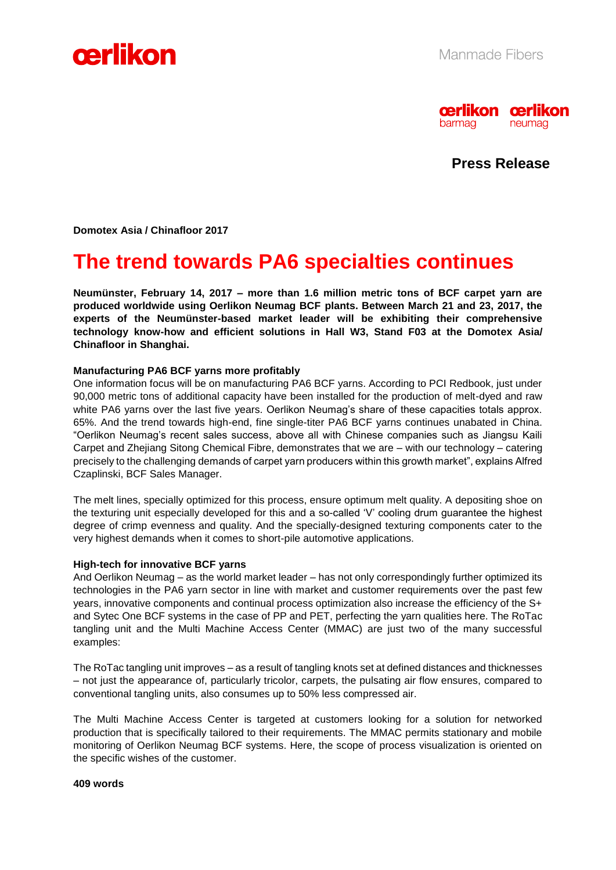



**Press Release**

**Domotex Asia / Chinafloor 2017** 

# **The trend towards PA6 specialties continues**

**Neumünster, February 14, 2017 – more than 1.6 million metric tons of BCF carpet yarn are produced worldwide using Oerlikon Neumag BCF plants. Between March 21 and 23, 2017, the experts of the Neumünster-based market leader will be exhibiting their comprehensive technology know-how and efficient solutions in Hall W3, Stand F03 at the Domotex Asia/ Chinafloor in Shanghai.**

## **Manufacturing PA6 BCF yarns more profitably**

One information focus will be on manufacturing PA6 BCF yarns. According to PCI Redbook, just under 90,000 metric tons of additional capacity have been installed for the production of melt-dyed and raw white PA6 yarns over the last five years. Oerlikon Neumag's share of these capacities totals approx. 65%. And the trend towards high-end, fine single-titer PA6 BCF yarns continues unabated in China. "Oerlikon Neumag's recent sales success, above all with Chinese companies such as Jiangsu Kaili Carpet and Zhejiang Sitong Chemical Fibre, demonstrates that we are – with our technology – catering precisely to the challenging demands of carpet yarn producers within this growth market", explains Alfred Czaplinski, BCF Sales Manager.

The melt lines, specially optimized for this process, ensure optimum melt quality. A depositing shoe on the texturing unit especially developed for this and a so-called 'V' cooling drum guarantee the highest degree of crimp evenness and quality. And the specially-designed texturing components cater to the very highest demands when it comes to short-pile automotive applications.

## **High-tech for innovative BCF yarns**

And Oerlikon Neumag – as the world market leader – has not only correspondingly further optimized its technologies in the PA6 yarn sector in line with market and customer requirements over the past few years, innovative components and continual process optimization also increase the efficiency of the S+ and Sytec One BCF systems in the case of PP and PET, perfecting the yarn qualities here. The RoTac tangling unit and the Multi Machine Access Center (MMAC) are just two of the many successful examples:

The RoTac tangling unit improves – as a result of tangling knots set at defined distances and thicknesses – not just the appearance of, particularly tricolor, carpets, the pulsating air flow ensures, compared to conventional tangling units, also consumes up to 50% less compressed air.

The Multi Machine Access Center is targeted at customers looking for a solution for networked production that is specifically tailored to their requirements. The MMAC permits stationary and mobile monitoring of Oerlikon Neumag BCF systems. Here, the scope of process visualization is oriented on the specific wishes of the customer.

#### **409 words**